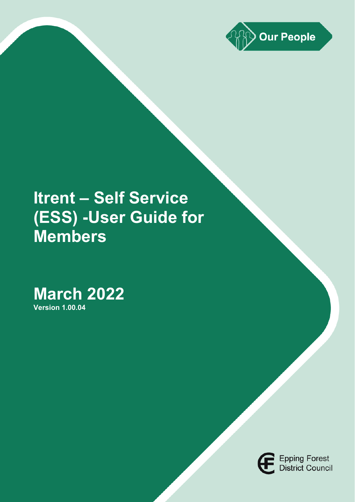

# **Itrent – Self Service (ESS) -User Guide for Members**

# **March 2022**

**Version 1.00.04**

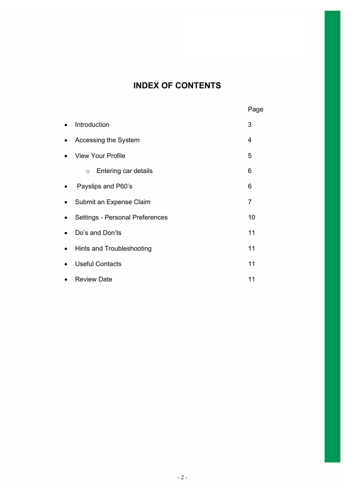# **INDEX OF CONTENTS**

|                                        | Page |
|----------------------------------------|------|
| Introduction                           | 3    |
| Accessing the System                   | 4    |
| <b>View Your Profile</b>               | 5    |
| Entering car details<br>$\circ$        | 6    |
| Payslips and P60's                     | 6    |
| Submit an Expense Claim                | 7    |
| <b>Settings - Personal Preferences</b> | 10   |
| Do's and Don'ts                        | 11   |
| Hints and Troubleshooting              | 11   |
| <b>Useful Contacts</b>                 | 11   |
| <b>Review Date</b>                     | 11   |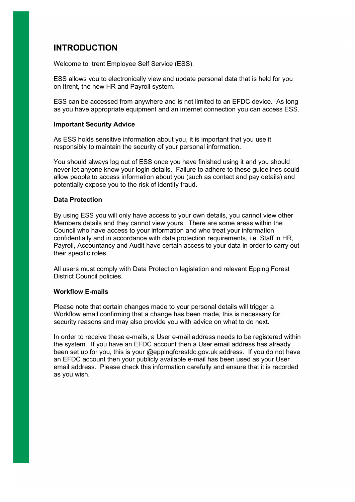## **INTRODUCTION**

Welcome to Itrent Employee Self Service (ESS).

ESS allows you to electronically view and update personal data that is held for you on Itrent, the new HR and Payroll system.

ESS can be accessed from anywhere and is not limited to an EFDC device. As long as you have appropriate equipment and an internet connection you can access ESS.

#### **Important Security Advice**

As ESS holds sensitive information about you, it is important that you use it responsibly to maintain the security of your personal information.

You should always log out of ESS once you have finished using it and you should never let anyone know your login details. Failure to adhere to these guidelines could allow people to access information about you (such as contact and pay details) and potentially expose you to the risk of identity fraud.

#### **Data Protection**

By using ESS you will only have access to your own details, you cannot view other Members details and they cannot view yours. There are some areas within the Council who have access to your information and who treat your information confidentially and in accordance with data protection requirements, i.e. Staff in HR, Payroll, Accountancy and Audit have certain access to your data in order to carry out their specific roles.

All users must comply with Data Protection legislation and relevant Epping Forest District Council policies.

#### **Workflow E-mails**

Please note that certain changes made to your personal details will trigger a Workflow email confirming that a change has been made, this is necessary for security reasons and may also provide you with advice on what to do next.

In order to receive these e-mails, a User e-mail address needs to be registered within the system. If you have an EFDC account then a User email address has already been set up for you, this is your @eppingforestdc.gov.uk address. If you do not have an EFDC account then your publicly available e-mail has been used as your User email address. Please check this information carefully and ensure that it is recorded as you wish.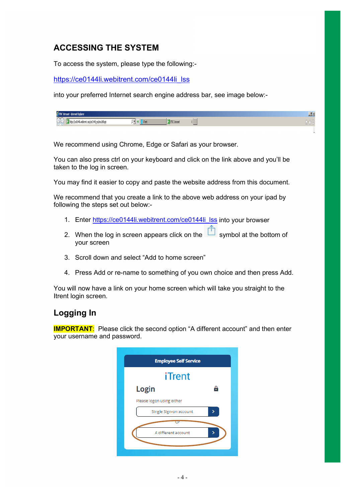# **ACCESSING THE SYSTEM**

To access the system, please type the following:-

[https://ce0144li.webitrent.com/ce0144li\\_lss](https://ce0144li.webitrent.com/ce0144li_lss)

into your preferred Internet search engine address bar, see image below:-

| исписты<br>ш.<br>,,,,,,,,                                                                                  |   |                       | 그비                   |
|------------------------------------------------------------------------------------------------------------|---|-----------------------|----------------------|
| المتصارفا محامين ثابة فتساعيت فمتعلمان ثابة فتساء معقبا أأد<br>וועות מסוסט ודדונטעווועע ומשמעודונטען, מעוד | - | <b>FEROC</b> Intranet | <b>MAC</b><br>$\sim$ |

We recommend using Chrome, Edge or Safari as your browser.

You can also press ctrl on your keyboard and click on the link above and you'll be taken to the log in screen.

You may find it easier to copy and paste the website address from this document.

We recommend that you create a link to the above web address on your ipad by following the steps set out below:-

- 1. Enter [https://ce0144li.webitrent.com/ce0144li\\_lss](https://ce0144li.webitrent.com/ce0144li_lss) into your browser
- 2. When the log in screen appears click on the symbol at the bottom of your screen
- 3. Scroll down and select "Add to home screen"
- 4. Press Add or re-name to something of you own choice and then press Add.

You will now have a link on your home screen which will take you straight to the Itrent login screen.

# **Logging In**

**IMPORTANT:** Please click the second option "A different account" and then enter your username and password.

| <b>Employee Self Service</b> |  |
|------------------------------|--|
| iTrent                       |  |
| Login<br>A                   |  |
| Please logon using either    |  |
| Single Sign-on account       |  |
|                              |  |
| A different account          |  |
|                              |  |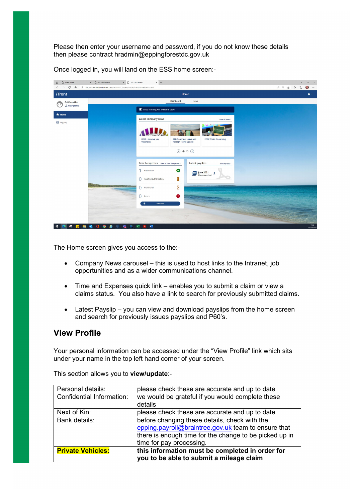Please then enter your username and password, if you do not know these details then please contract hradmin@eppingforestdc.gov.uk

| n   B iTrent Home<br>$\leftarrow$ $\rightarrow$<br>$\circ$<br>$\Omega$ | $\times$   $\rightarrow$ ESS - ESS Home<br>x BSS - ESS Home<br>https://ce0144d2.webitrent.com/ce0144d2_lss/ess/dist/#/main/home/dashboard | $\mathsf{x}\;$ +                                                                            |                                                   |  | $\mathbb{G}$ | $\times$<br>$\mathcal{O}$<br>$\bullet$<br>$\cdots$ |
|------------------------------------------------------------------------|-------------------------------------------------------------------------------------------------------------------------------------------|---------------------------------------------------------------------------------------------|---------------------------------------------------|--|--------------|----------------------------------------------------|
| <b>iTrent</b>                                                          |                                                                                                                                           |                                                                                             | Home                                              |  |              | $2 +$                                              |
| Ani Councillor<br>$\begin{array}{cc} 0 & 0 \end{array}$                |                                                                                                                                           | Dashboard                                                                                   | News                                              |  |              |                                                    |
| & View profile                                                         |                                                                                                                                           |                                                                                             |                                                   |  |              |                                                    |
| <del>n</del> Home                                                      |                                                                                                                                           | Latest company news                                                                         | View all news >                                   |  |              |                                                    |
| My pay                                                                 |                                                                                                                                           |                                                                                             |                                                   |  |              |                                                    |
|                                                                        |                                                                                                                                           |                                                                                             |                                                   |  |              |                                                    |
|                                                                        |                                                                                                                                           | EFDC - Internal Job<br>EFDC - Annual Leave and<br><b>Foreign Travel update</b><br>Vacancies | <b>EFDC iTrain E-Learning</b>                     |  |              |                                                    |
|                                                                        |                                                                                                                                           |                                                                                             | $\circ \bullet \circ \circ$                       |  |              |                                                    |
|                                                                        |                                                                                                                                           |                                                                                             |                                                   |  |              |                                                    |
|                                                                        |                                                                                                                                           | Time & expenses view all time & expenses >                                                  | Latest payslips<br>View my pay >                  |  |              |                                                    |
|                                                                        |                                                                                                                                           | $\bullet$<br>Authorised                                                                     | <b>June 2021</b><br>PDF<br>土<br>Click to download |  |              |                                                    |
|                                                                        |                                                                                                                                           | z<br>0<br>Awaiting authorisation                                                            |                                                   |  |              |                                                    |
|                                                                        | STATISTICS IN CASE OF                                                                                                                     | 8<br>O Provisional                                                                          |                                                   |  |              |                                                    |
|                                                                        |                                                                                                                                           | $\bullet$<br>$\bigcap$ Errors                                                               |                                                   |  |              |                                                    |
|                                                                        |                                                                                                                                           | $^{+}$<br>Add claim                                                                         |                                                   |  |              |                                                    |
|                                                                        |                                                                                                                                           | <b>Carlos</b>                                                                               |                                                   |  |              |                                                    |
|                                                                        |                                                                                                                                           |                                                                                             |                                                   |  |              |                                                    |
| ø<br>盲<br>H<br><b>P</b>                                                | 颯<br>喘<br>e<br>$\infty$<br>п                                                                                                              | 國<br>$\overline{\mathbf{x}}$<br>$\mathbf{L}$                                                |                                                   |  |              | 11:52<br>07/03/2022                                |

Once logged in, you will land on the ESS home screen:-

The Home screen gives you access to the:-

- Company News carousel this is used to host links to the Intranet, job opportunities and as a wider communications channel.
- Time and Expenses quick link enables you to submit a claim or view a claims status. You also have a link to search for previously submitted claims.
- Latest Payslip you can view and download payslips from the home screen and search for previously issues payslips and P60's.

#### **View Profile**

Your personal information can be accessed under the "View Profile" link which sits under your name in the top left hand corner of your screen.

| Personal details:         | please check these are accurate and up to date         |  |  |  |
|---------------------------|--------------------------------------------------------|--|--|--|
| Confidential Information: | we would be grateful if you would complete these       |  |  |  |
|                           | details                                                |  |  |  |
| Next of Kin:              | please check these are accurate and up to date         |  |  |  |
| Bank details:             | before changing these details, check with the          |  |  |  |
|                           | epping.payroll@braintree.gov.uk team to ensure that    |  |  |  |
|                           | there is enough time for the change to be picked up in |  |  |  |
|                           | time for pay processing.                               |  |  |  |
| <b>Private Vehicles:</b>  | this information must be completed in order for        |  |  |  |
|                           | you to be able to submit a mileage claim               |  |  |  |

This section allows you to **view/update**:-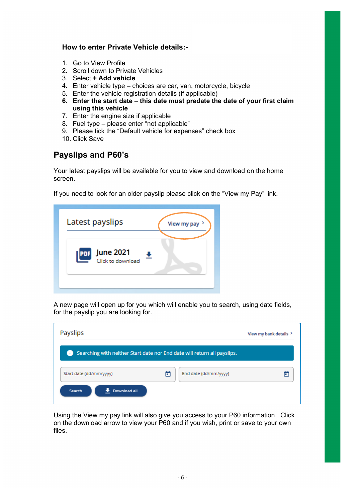#### **How to enter Private Vehicle details:-**

- 1. Go to View Profile
- 2. Scroll down to Private Vehicles
- 3. Select **+ Add vehicle**
- 4. Enter vehicle type choices are car, van, motorcycle, bicycle
- 5. Enter the vehicle registration details (if applicable)
- **6. Enter the start date this date must predate the date of your first claim using this vehicle**
- 7. Enter the engine size if applicable
- 8. Fuel type please enter "not applicable"
- 9. Please tick the "Default vehicle for expenses" check box
- 10. Click Save

### **Payslips and P60's**

Your latest payslips will be available for you to view and download on the home screen.

If you need to look for an older payslip please click on the "View my Pay" link.

| View my pay > |
|---------------|
|               |
|               |

A new page will open up for you which will enable you to search, using date fields, for the payslip you are looking for.

| <b>Payslips</b>                                                          |   |                       | View my bank details > |
|--------------------------------------------------------------------------|---|-----------------------|------------------------|
| Searching with neither Start date nor End date will return all payslips. |   |                       |                        |
| Start date (dd/mm/yyyy)                                                  | Ē | End date (dd/mm/yyyy) |                        |
| Download all<br>Search                                                   |   |                       |                        |

Using the View my pay link will also give you access to your P60 information. Click on the download arrow to view your P60 and if you wish, print or save to your own files.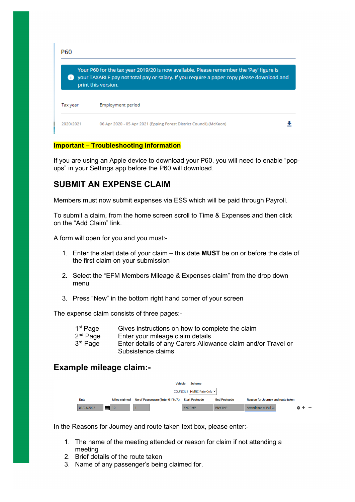| <b>P60</b> |                                                                                                                                                                                                             |  |
|------------|-------------------------------------------------------------------------------------------------------------------------------------------------------------------------------------------------------------|--|
|            | Your P60 for the tax year 2019/20 is now available. Please remember the 'Pay' figure is<br>your TAXABLE pay not total pay or salary. If you require a paper copy please download and<br>print this version. |  |
| Tax year   | Employment period                                                                                                                                                                                           |  |
| 2020/2021  | 06 Apr 2020 - 05 Apr 2021 (Epping Forest District Council) (McKeon)                                                                                                                                         |  |

#### **Important – Troubleshooting information**

If you are using an Apple device to download your P60, you will need to enable "popups" in your Settings app before the P60 will download.

### **SUBMIT AN EXPENSE CLAIM**

Members must now submit expenses via ESS which will be paid through Payroll.

To submit a claim, from the home screen scroll to Time & Expenses and then click on the "Add Claim" link.

A form will open for you and you must:-

- 1. Enter the start date of your claim this date **MUST** be on or before the date of the first claim on your submission
- 2. Select the "EFM Members Mileage & Expenses claim" from the drop down menu
- 3. Press "New" in the bottom right hand corner of your screen

The expense claim consists of three pages:-

| 1 <sup>st</sup> Page | Gives instructions on how to complete the claim              |
|----------------------|--------------------------------------------------------------|
| 2 <sup>nd</sup> Page | Enter your mileage claim details                             |
| 3 <sup>rd</sup> Page | Enter details of any Carers Allowance claim and/or Travel or |
|                      | Subsistence claims                                           |

#### **Example mileage claim:-**



In the Reasons for Journey and route taken text box, please enter:-

- 1. The name of the meeting attended or reason for claim if not attending a meeting
- 2. Brief details of the route taken
- 3. Name of any passenger's being claimed for.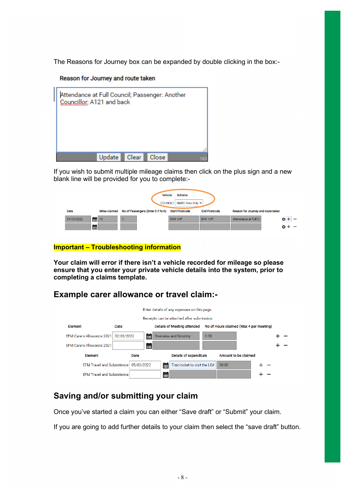The Reasons for Journey box can be expanded by double clicking in the box:-

#### Reason for Journey and route taken



If you wish to submit multiple mileage claims then click on the plus sign and a new blank line will be provided for you to complete:-

| <b>Vehicle</b><br>Scheme<br>COUNCIL1 HMRC Rate Only v |               |                                   |                       |                     |                                    |  |  |  |
|-------------------------------------------------------|---------------|-----------------------------------|-----------------------|---------------------|------------------------------------|--|--|--|
| Date                                                  | Miles claimed | No of Passengers (Enter 0 if N/A) | <b>Start Postcode</b> | <b>End Postcode</b> | Reason for Journey and route taken |  |  |  |
| 01/03/2022                                            | 藟<br>10       |                                   | EN9 1HP               | EN9 1HP             | Attendance at Full Co              |  |  |  |
|                                                       | 雦             |                                   |                       |                     |                                    |  |  |  |

#### **Important – Troubleshooting information**

**Your claim will error if there isn't a vehicle recorded for mileage so please ensure that you enter your private vehicle details into the system, prior to completing a claims template.**

## **Example carer allowance or travel claim:-**

|                                                       |            |            |   | Enter details of any expenses on this page. |                                         |                      |  |  |
|-------------------------------------------------------|------------|------------|---|---------------------------------------------|-----------------------------------------|----------------------|--|--|
|                                                       |            |            |   | Receipts can be attached after submission.  |                                         |                      |  |  |
| <b>Details of Meeting attended</b><br>Element<br>Date |            |            |   |                                             | No of Hours claimed (Max 4 per meeting) |                      |  |  |
| <b>EFM Carers Allowance 2021</b>                      | 02/03/2022 | 論          |   | <b>Overview and Scrutiny</b>                | 1.00                                    |                      |  |  |
| EFM Carers Allowance 2021                             |            | 角          |   |                                             |                                         |                      |  |  |
| Element                                               |            | Date       |   | <b>Details of expenditure</b>               |                                         | Amount to be claimed |  |  |
| <b>EFM Travel and Subsistence</b>                     |            | 05/03/2022 | 冊 | Train ticket to visit the LGA               |                                         | 10.00                |  |  |
| FFM Travel and Subsistence                            |            |            | ▦ |                                             |                                         |                      |  |  |

## **Saving and/or submitting your claim**

Once you've started a claim you can either "Save draft" or "Submit" your claim.

If you are going to add further details to your claim then select the "save draft" button.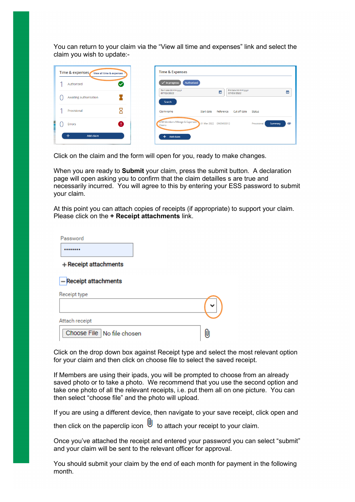You can return to your claim via the "View all time and expenses" link and select the claim you wish to update:-

|  | Time & expenses View all time & expenses | Time & Expenses                                     |            |                       |                                     |               |         |                               |
|--|------------------------------------------|-----------------------------------------------------|------------|-----------------------|-------------------------------------|---------------|---------|-------------------------------|
|  | Authorised                               | $\sqrt{}$ in progress                               | Authorised |                       |                                     |               |         |                               |
|  | Awaiting authorisation                   | Start date (dd/mm/yyyy)<br>07/02/2022<br>Search     |            | 卣                     | End date (dd/mm/yyyy)<br>07/03/2022 |               |         | 固                             |
|  | Provisional                              | Claim name                                          | Start date | Reference             | Cut off date                        | <b>Status</b> |         |                               |
|  | ч<br>Errors                              | <b>EFM Members Mileage &amp; Expenses</b><br>Claims |            | 01 Mar 2022 EMEM00012 |                                     | Provisional   | Summary | $\boldsymbol{\boldsymbol\Xi}$ |
|  | $\pm$<br>Add claim                       | Add claim<br>$+$                                    |            |                       |                                     |               |         |                               |

Click on the claim and the form will open for you, ready to make changes.

When you are ready to **Submit** your claim, press the submit button. A declaration page will open asking you to confirm that the claim detailles s are true and necessarily incurred. You will agree to this by entering your ESS password to submit your claim.

At this point you can attach copies of receipts (if appropriate) to support your claim. Please click on the **+ Receipt attachments** link.

| Password                     |    |
|------------------------------|----|
|                              |    |
| + Receipt attachments        |    |
| - Receipt attachments        |    |
| Receipt type                 |    |
|                              |    |
| Attach receipt               |    |
| Choose File   No file chosen | ſU |

Click on the drop down box against Receipt type and select the most relevant option for your claim and then click on choose file to select the saved receipt.

If Members are using their ipads, you will be prompted to choose from an already saved photo or to take a photo. We recommend that you use the second option and take one photo of all the relevant receipts, i.e. put them all on one picture. You can then select "choose file" and the photo will upload.

If you are using a different device, then navigate to your save receipt, click open and then click on the paperclip icon  $\Box$  to attach your receipt to your claim.

Once you've attached the receipt and entered your password you can select "submit" and your claim will be sent to the relevant officer for approval.

You should submit your claim by the end of each month for payment in the following month.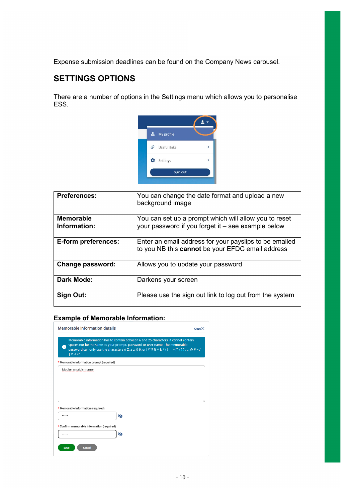Expense submission deadlines can be found on the Company News carousel.

# **SETTINGS OPTIONS**

There are a number of options in the Settings menu which allows you to personalise ESS.



| <b>Preferences:</b>              | You can change the date format and upload a new<br>background image                                         |
|----------------------------------|-------------------------------------------------------------------------------------------------------------|
| <b>Memorable</b><br>Information: | You can set up a prompt which will allow you to reset<br>your password if you forget it - see example below |
| E-form preferences:              | Enter an email address for your payslips to be emailed<br>to you NB this cannot be your EFDC email address  |
| Change password:                 | Allows you to update your password                                                                          |
| <b>Dark Mode:</b>                | Darkens your screen                                                                                         |
| Sign Out:                        | Please use the sign out link to log out from the system                                                     |

#### **Example of Memorable Information:**

| 6                                         | spaces nor be the same as your prompt, password or user name. The memorable<br>password can only use the characters A-Z, a-z, 0-9, or ! \" $\frac{1}{2}$ % ^ & * () - _ + [] { } ?, .; @ # ~ / |  |
|-------------------------------------------|------------------------------------------------------------------------------------------------------------------------------------------------------------------------------------------------|--|
| W  < > 1                                  |                                                                                                                                                                                                |  |
| *Memorable information prompt (required)  |                                                                                                                                                                                                |  |
| Mothersmaidenname                         |                                                                                                                                                                                                |  |
|                                           |                                                                                                                                                                                                |  |
|                                           |                                                                                                                                                                                                |  |
|                                           |                                                                                                                                                                                                |  |
|                                           |                                                                                                                                                                                                |  |
| *Memorable information (required)         |                                                                                                                                                                                                |  |
|                                           | Ø                                                                                                                                                                                              |  |
| *Confirm memorable information (required) |                                                                                                                                                                                                |  |
|                                           |                                                                                                                                                                                                |  |